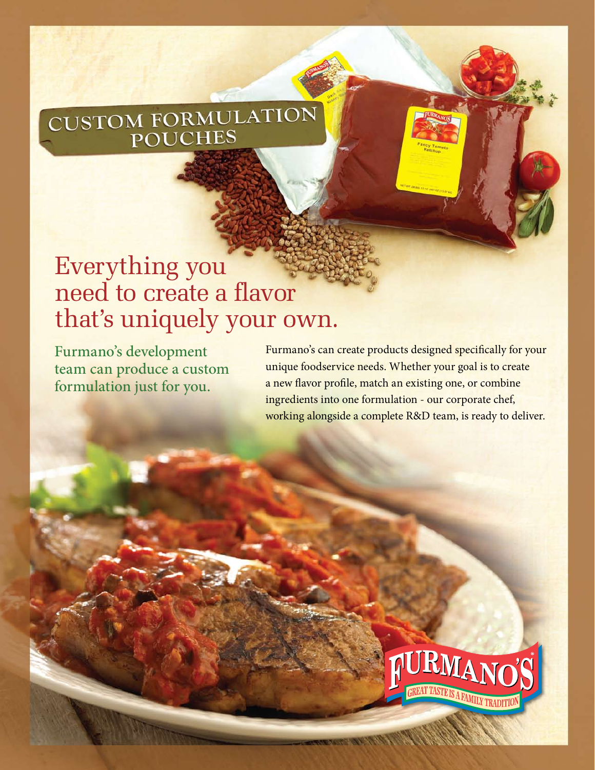## CUSTOM FORMULATION **POUCHES**

## Everything you need to create a flavor that's uniquely your own.

Furmano's development team can produce a custom formulation just for you.

Furmano's can create products designed specifically for your unique foodservice needs. Whether your goal is to create a new flavor profile, match an existing one, or combine ingredients into one formulation - our corporate chef, working alongside a complete R&D team, is ready to deliver.